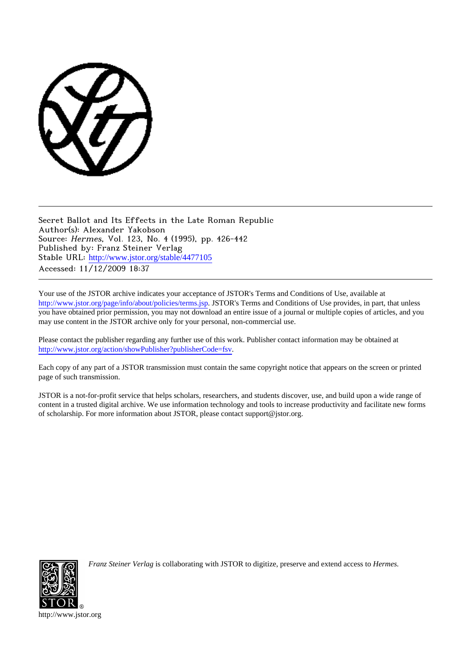

Secret Ballot and Its Effects in the Late Roman Republic Author(s): Alexander Yakobson Source: Hermes, Vol. 123, No. 4 (1995), pp. 426-442 Published by: Franz Steiner Verlag Stable URL: [http://www.jstor.org/stable/4477105](http://www.jstor.org/stable/4477105?origin=JSTOR-pdf) Accessed: 11/12/2009 18:37

Your use of the JSTOR archive indicates your acceptance of JSTOR's Terms and Conditions of Use, available at <http://www.jstor.org/page/info/about/policies/terms.jsp>. JSTOR's Terms and Conditions of Use provides, in part, that unless you have obtained prior permission, you may not download an entire issue of a journal or multiple copies of articles, and you may use content in the JSTOR archive only for your personal, non-commercial use.

Please contact the publisher regarding any further use of this work. Publisher contact information may be obtained at <http://www.jstor.org/action/showPublisher?publisherCode=fsv>.

Each copy of any part of a JSTOR transmission must contain the same copyright notice that appears on the screen or printed page of such transmission.

JSTOR is a not-for-profit service that helps scholars, researchers, and students discover, use, and build upon a wide range of content in a trusted digital archive. We use information technology and tools to increase productivity and facilitate new forms of scholarship. For more information about JSTOR, please contact support@jstor.org.



*Franz Steiner Verlag* is collaborating with JSTOR to digitize, preserve and extend access to *Hermes.*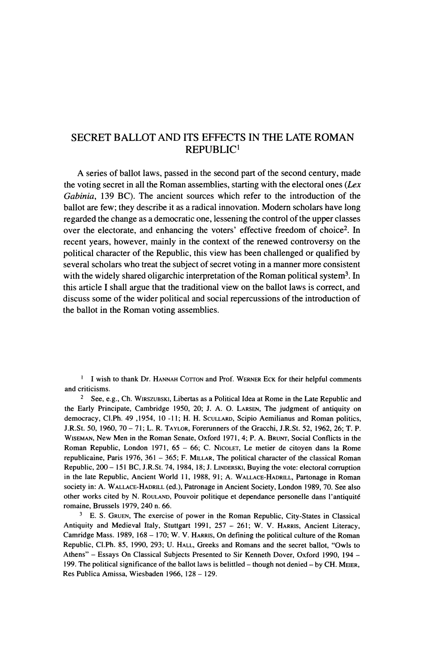## **SECRET BALLOT AND ITS EFFECTS IN THE LATE ROMAN REPUBLIC'**

**A series of ballot laws, passed in the second part of the second century, made the voting secret in all the Roman assemblies, starting with the electoral ones (Lex Gabinia, 139 BC). The ancient sources which refer to the introduction of the ballot are few; they describe it as a radical innovation. Modem scholars have long regarded the change as a democratic one, lessening the control of the upper classes over the electorate, and enhancing the voters' effective freedom of choice2. In recent years, however, mainly in the context of the renewed controversy on the political character of the Republic, this view has been challenged or qualified by several scholars who treat the subject of secret voting in a manner more consistent with the widely shared oligarchic interpretation of the Roman political system3. In this article I shall argue that the traditional view on the ballot laws is correct, and discuss some of the wider political and social repercussions of the introduction of the ballot in the Roman voting assemblies.** 

**1 I** wish to thank Dr. HANNAH COTTON and Prof. WERNER ECK for their helpful comments **and criticisms.** 

**<sup>2</sup>See, e.g., Ch. WIRSZUBSKI, Libertas as a Political Idea at Rome in the Late Republic and the Early Principate, Cambridge 1950, 20; J. A. 0. LARSEN, The judgment of antiquity on democracy, Cl.Ph. 49 ,1954, 10 -11; H. H. SCULLARD, Scipio Aemilianus and Roman politics, J.R.St. 50, 1960, 70 - 71; L. R. TAYLOR, Forerunners of the Gracchi, J.R.St. 52, 1962, 26; T. P. WISEMAN, New Men in the Roman Senate, Oxford 1971, 4; P. A. BRUNT, Social Conflicts in the Roman Republic, London 1971, 65 - 66; C. NICOLET, Le metier de citoyen dans la Rome republicaine, Paris 1976, 361 - 365; F. MILLAR, The political character of the classical Roman Republic, 200- 151 BC, J.R.St. 74, 1984, 18; J. LINDERSKI, Buying the vote: electoral corruption in the late Republic, Ancient World 11, 1988, 91; A. WALLACE-HADRILL, Partonage in Roman society in: A. WALLACE-HADRILL (ed.), Patronage in Ancient Society, London 1989, 70. See also other works cited by N. ROULAND, Pouvoir politique et dependance personelle dans l'antiquite romaine, Brussels 1979, 240 n. 66.** 

**3 E. S. GRUEN, The exercise of power in the Roman Republic, City-States in Classical Antiquity and Medieval Italy, Stuttgart 1991, 257 - 261; W. V. HARRIS, Ancient Literacy,**  Camridge Mass. 1989, 168 – 170; W. V. HARRIS, On defining the political culture of the Roman **Republic, Cl.Ph. 85, 1990, 293; U. HALL, Greeks and Romans and the secret ballot, "Owls to Athens" - Essays On Classical Subjects Presented to Sir Kenneth Dover, Oxford 1990, 194 - 199. The political significance of the ballot laws is belittled - though not denied - by CH. MEIER, Res Publica Amissa, Wiesbaden 1966, 128 - 129.**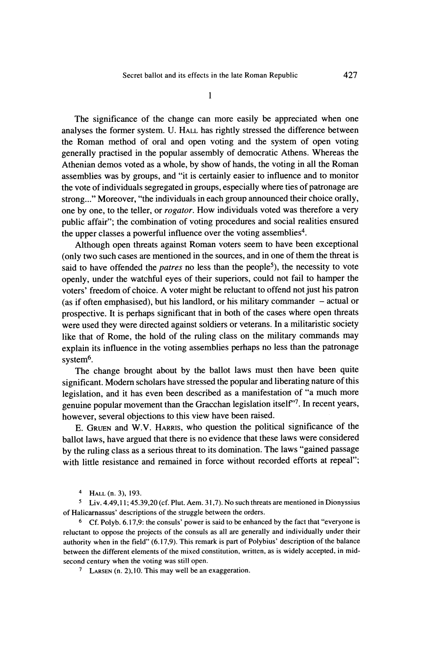**1** 

**The significance of the change can more easily be appreciated when one analyses the former system. U. HALL has rightly stressed the difference between the Roman method of oral and open voting and the system of open voting generally practised in the popular assembly of democratic Athens. Whereas the Athenian demos voted as a whole, by show of hands, the voting in all the Roman assemblies was by groups, and "it is certainly easier to influence and to monitor the vote of individuals segregated in groups, especially where ties of patronage are strong..." Moreover, "the individuals in each group announced their choice orally, one by one, to the teller, or rogator. How individuals voted was therefore a very public affair"; the combination of voting procedures and social realities ensured the upper classes a powerful influence over the voting assemblies4.** 

**Although open threats against Roman voters seem to have been exceptional (only two such cases are mentioned in the sources, and in one of them the threat is said to have offended the patres no less than the people5), the necessity to vote openly, under the watchful eyes of their superiors, could not fail to hamper the voters' freedom of choice. A voter might be reluctant to offend not just his patron (as if often emphasised), but his landlord, or his military commander - actual or prospective. It is perhaps significant that in both of the cases where open threats were used they were directed against soldiers or veterans. In a militaristic society like that of Rome, the hold of the ruling class on the military commands may explain its influence in the voting assemblies perhaps no less than the patronage system6.** 

**The change brought about by the ballot laws must then have been quite significant. Modern scholars have stressed the popular and liberating nature of this legislation, and it has even been described as a manifestation of "a much more genuine popular movement than the Gracchan legislation itself'7. In recent years, however, several objections to this view have been raised.** 

**E. GRUEN and W.V. HARRIS, who question the political significance of the ballot laws, have argued that there is no evidence that these laws were considered by the ruling class as a serious threat to its domination. The laws "gained passage**  with little resistance and remained in force without recorded efforts at repeal";

**4 HALL (n. 3), 193.** 

**<sup>S</sup>Liv. 4.49,1 1; 45.39,20 (cf. Plut. Aem. 31,7). No such threats are mentioned in Dionyssius of Halicarnassus' descriptions of the struggle between the orders.** 

**<sup>6</sup>Cf. Polyb. 6.17,9: the consuls' power is said to be enhanced by the fact that "everyone is reluctant to oppose the projects of the consuls as all are generally and individually under their authority when in the field" (6.17,9). This remark is part of Polybius' description of the balance between the different elements of the mixed constitution, written, as is widely accepted, in midsecond century when the voting was still open.** 

**7 LARSEN (n. 2),10. This may well be an exaggeration.**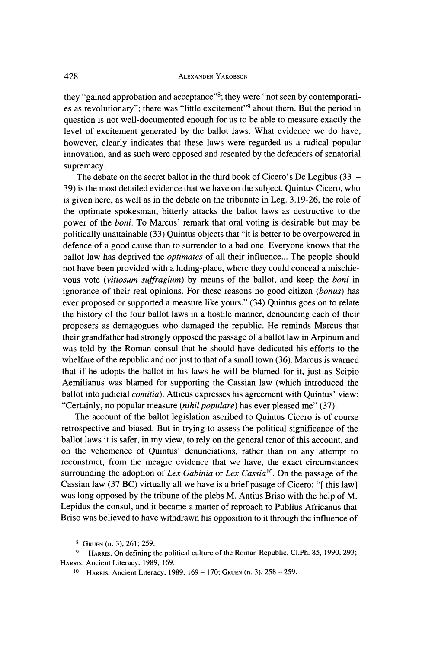**they "gained approbation and acceptance"8; they were "not seen by contemporaries as revolutionary"; there was "little excitement"9 about them. But the period in question is not well-documented enough for us to be able to measure exactly the level of excitement generated by the ballot laws. What evidence we do have, however, clearly indicates that these laws were regarded as a radical popular innovation, and as such were opposed and resented by the defenders of senatorial supremacy.** 

**The debate on the secret ballot in the third book of Cicero's De Legibus (33 - 39) is the most detailed evidence that we have on the subject. Quintus Cicero, who is given here, as well as in the debate on the tribunate in Leg. 3.19-26, the role of the optimate spokesman, bitterly attacks the ballot laws as destructive to the power of the boni. To Marcus' remark that oral voting is desirable but may be politically unattainable (33) Quintus objects that "it is better to be overpowered in defence of a good cause than to surrender to a bad one. Everyone knows that the ballot law has deprived the optimates of all their influence... The people should not have been provided with a hiding-place, where they could conceal a mischievous vote (vitiosum suffragium) by means of the ballot, and keep the boni in ignorance of their real opinions. For these reasons no good citizen (bonus) has ever proposed or supported a measure like yours." (34) Quintus goes on to relate the history of the four ballot laws in a hostile manner, denouncing each of their proposers as demagogues who damaged the republic. He reminds Marcus that their grandfather had strongly opposed the passage of a ballot law in Arpinum and was told by the Roman consul that he should have dedicated his efforts to the whelfare of the republic and not just to that of a small town (36). Marcus is warned that if he adopts the ballot in his laws he will be blamed for it, just as Scipio Aemilianus was blamed for supporting the Cassian law (which introduced the ballot into judicial comitia). Atticus expresses his agreement with Quintus' view: "Certainly, no popular measure (nihil populare) has ever pleased me" (37).** 

**The account of the ballot legislation ascribed to Quintus Cicero is of course retrospective and biased. But in trying to assess the political significance of the ballot laws it is safer, in my view, to rely on the general tenor of this account, and on the vehemence of Quintus' denunciations, rather than on any attempt to reconstruct, from the meagre evidence that we have, the exact circumstances surrounding the adoption of Lex Gabinia or Lex Cassial'. On the passage of the Cassian law (37 BC) virtually all we have is a brief pasage of Cicero: "[ this law] was long opposed by the tribune of the plebs M. Antius Briso with the help of M. Lepidus the consul, and it became a matter of reproach to Publius Africanus that Briso was believed to have withdrawn his opposition to it through the influence of** 

**8 GRUEN (n. 3), 261; 259.** 

**<sup>9</sup> HARRIS, On defining the political culture of the Roman Republic, Cl.Ph. 85, 1990, 293; HARRIS, Ancient Literacy, 1989, 169.** 

**<sup>10</sup> HARRIS, Ancient Literacy, 1989, 169 - 170; GRUEN (n. 3), 258 - 259.**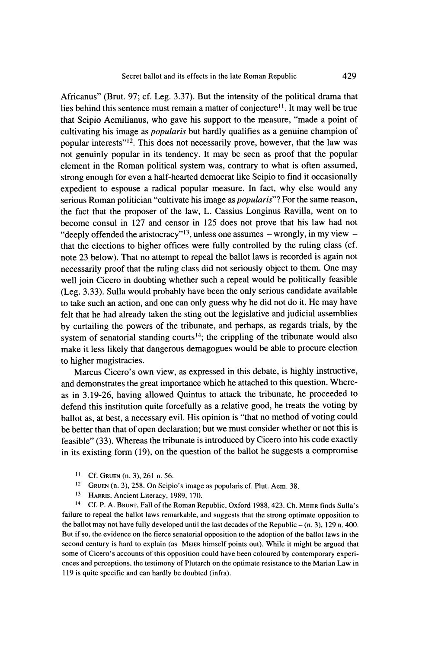**Africanus" (Brut. 97; cf. Leg. 3.37). But the intensity of the political drama that**  lies behind this sentence must remain a matter of conjecture<sup>11</sup>. It may well be true **that Scipio Aemilianus, who gave his support to the measure, "made a point of cultivating his image as popularis but hardly qualifies as a genuine champion of popular interests"12. This does not necessarily prove, however, that the law was not genuinly popular in its tendency. It may be seen as proof that the popular element in the Roman political system was, contrary to what is often assumed, strong enough for even a half-hearted democrat like Scipio to find it occasionally expedient to espouse a radical popular measure. In fact, why else would any serious Roman politician "cultivate his image as popularis"? For the same reason, the fact that the proposer of the law, L. Cassius Longinus Ravilla, went on to become consul in 127 and censor in 125 does not prove that his law had not**  "deeply offended the aristocracy"<sup>13</sup>, unless one assumes - wrongly, in my view **that the elections to higher offices were fully controlled by the ruling class (cf. note 23 below). That no attempt to repeal the ballot laws is recorded is again not necessarily proof that the ruling class did not seriously object to them. One may well join Cicero in doubting whether such a repeal would be politically feasible (Leg. 3.33). Sulla would probably have been the only serious candidate available to take such an action, and one can only guess why he did not do it. He may have felt that he had already taken the sting out the legislative and judicial assemblies by curtailing the powers of the tribunate, and perhaps, as regards trials, by the**  system of senatorial standing courts<sup>14</sup>; the crippling of the tribunate would also **make it less likely that dangerous demagogues would be able to procure election to higher magistracies.** 

**Marcus Cicero's own view, as expressed in this debate, is highly instructive, and demonstrates the great importance which he attached to this question. Whereas in 3.19-26, having allowed Quintus to attack the tribunate, he proceeded to defend this institution quite forcefully as a relative good, he treats the voting by ballot as, at best, a necessary evil. His opinion is "that no method of voting could be better than that of open declaration; but we must consider whether or not this is feasible" (33). Whereas the tribunate is introduced by Cicero into his code exactly in its existing form (19), on the question of the ballot he suggests a compromise** 

- **11 Cf. GRUEN (n. 3), 261 n. 56.**
- **12 GRUEN (n. 3), 258. On Scipio's image as popularis cf. Plut. Aem. 38.**
- **13 HARRIS, Ancient Literacy, 1989, 170.**

**<sup>14</sup>Cf. P. A. BRUNT, Fall of the Roman Republic, Oxford 1988, 423. Ch. MEIER finds Sulla's failure to repeal the ballot laws remarkable, and suggests that the strong optimate opposition to**  the ballot may not have fully developed until the last decades of the Republic  $-$  (n. 3), 129 n. 400. **But if so, the evidence on the fierce senatorial opposition to the adoption of the ballot laws in the second century is hard to explain (as MEIER himself points out). While it might be argued that some of Cicero's accounts of this opposition could have been coloured by contemporary experiences and perceptions, the testimony of Plutarch on the optimate resistance to the Marian Law in 119 is quite specific and can hardly be doubted (infra).**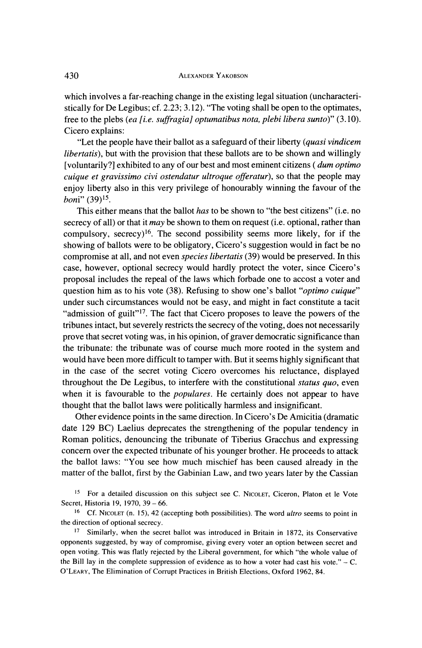**which involves a far-reaching change in the existing legal situation (uncharacteristically for De Legibus; cf. 2.23; 3.12). "The voting shall be open to the optimates,**  free to the plebs (ea [i.e. suffragia] optumatibus nota, plebi libera sunto)" (3.10). **Cicero explains:** 

**"Let the people have their ballot as a safeguard of their liberty (quasi vindicem libertatis), but with the provision that these ballots are to be shown and willingly [voluntarily?] exhibited to any of our best and most eminent citizens ( dum optimo cuique et gravissimo civi ostendatur ultroque offeratur), so that the people may enjoy liberty also in this very privilege of honourably winning the favour of the boni" (39)15** 

**This either means that the ballot has to be shown to "the best citizens" (i.e. no secrecy of all) or that it may be shown to them on request (i.e. optional, rather than compulsory, secrecy)16. The second possibility seems more likely, for if the showing of ballots were to be obligatory, Cicero's suggestion would in fact be no compromise at all, and not even species libertatis (39) would be preserved. In this case, however, optional secrecy would hardly protect the voter, since Cicero's proposal includes the repeal of the laws which forbade one to accost a voter and question him as to his vote (38). Refusing to show one's ballot "optimo cuique" under such circumstances would not be easy, and might in fact constitute a tacit "admission of guilt"17. The fact that Cicero proposes to leave the powers of the tribunes intact, but severely restricts the secrecy of the voting, does not necessarily prove that secret voting was, in his opinion, of graver democratic significance than the tribunate: the tribunate was of course much more rooted in the system and would have been more difficult to tamper with. But it seems highly significant that in the case of the secret voting Cicero overcomes his reluctance, displayed throughout the De Legibus, to interfere with the constitutional status quo, even when it is favourable to the populares. He certainly does not appear to have thought that the ballot laws were politically harmless and insignificant.** 

**Other evidence points in the same direction. In Cicero's De Amicitia (dramatic date 129 BC) Laelius deprecates the strengthening of the popular tendency in Roman politics, denouncing the tribunate of Tiberius Gracchus and expressing concern over the expected tribunate of his younger brother. He proceeds to attack the ballot laws: "You see how much mischief has been caused already in the matter of the ballot, first by the Gabinian Law, and two years later by the Cassian** 

**<sup>15</sup>For a detailed discussion on this subject see C. NICOLET, Ciceron, Platon et le Vote Secret, Historia 19, 1970, 39 - 66.** 

**<sup>16</sup>Cf. NICOLET (n. 15), 42 (accepting both possibilities). The word ultro seems to point in the direction of optional secrecy.** 

**<sup>17</sup>Similarly, when the secret ballot was introduced in Britain in 1872, its Conservative opponents suggested, by way of compromise, giving every voter an option between secret and open voting. This was flatly rejected by the Liberal government, for which "the whole value of**  the Bill lay in the complete suppression of evidence as to how a voter had cast his vote." $-$  C. **O'LEARY, The Elimination of Corrupt Practices in British Elections, Oxford 1962, 84.**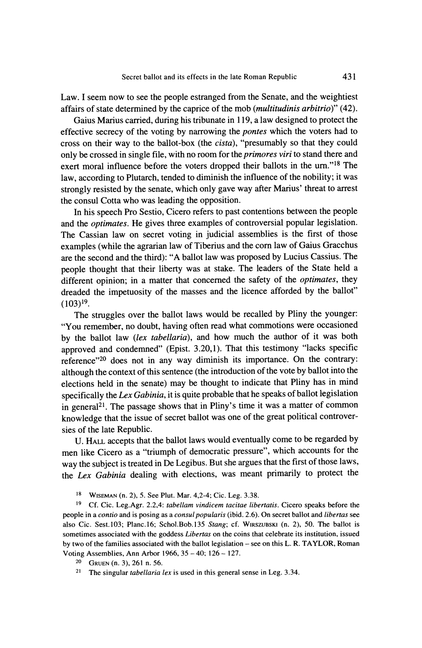**Law. I seem now to see the people estranged from the Senate, and the weightiest affairs of state determined by the caprice of the mob (multitudinis arbitrio)" (42).** 

**Gaius Marius carried, during his tribunate in 119, a law designed to protect the effective secrecy of the voting by narrowing the pontes which the voters had to cross on their way to the ballot-box (the cista), "presumably so that they could only be crossed in single file, with no room for the primores viri to stand there and exert moral influence before the voters dropped their ballots in the urn."18 The law, according to Plutarch, tended to diminish the influence of the nobility; it was strongly resisted by the senate, which only gave way after Marius' threat to arrest the consul Cotta who was leading the opposition.** 

**In his speech Pro Sestio, Cicero refers to past contentions between the people and the optimates. He gives three examples of controversial popular legislation. The Cassian law on secret voting in judicial assemblies is the first of those examples (while the agrarian law of Tiberius and the corn law of Gaius Gracchus are the second and the third): "A ballot law was proposed by Lucius Cassius. The people thought that their liberty was at stake. The leaders of the State held a different opinion; in a matter that concerned the safety of the optimates, they dreaded the impetuosity of the masses and the licence afforded by the ballot" (l03)19.** 

**The struggles over the ballot laws would be recalled by Pliny the younger: "You remember, no doubt, having often read what commotions were occasioned by the ballot law (lex tabellaria), and how much the author of it was both approved and condemned" (Epist. 3.20,1). That this testimony "lacks specific reference"20 does not in any way diminish its importance. On the contrary: although the context of this sentence (the introduction of the vote by ballot into the elections held in the senate) may be thought to indicate that Pliny has in mind specifically the Lex Gabinia, it is quite probable that he speaks of ballot legislation in general2l. The passage shows that in Pliny's time it was a matter of common knowledge that the issue of secret ballot was one of the great political controversies of the late Republic.** 

**U. HALL accepts that the ballot laws would eventually come to be regarded by men like Cicero as a "triumph of democratic pressure", which accounts for the way the subject is treated in De Legibus. But she argues that the first of those laws, the Lex Gabinia dealing with elections, was meant primarily to protect the** 

**18 WISEMAN (n. 2), 5. See Plut. Mar. 4,2-4; Cic. Leg. 3.38.** 

**19 Cf. Cic. Leg.Agr. 2.2,4: tabellam vindicem tacitae libertatis. Cicero speaks before the people in a contio and is posing as a consul popularis (ibid. 2.6). On secret ballot and libertas see also Cic. Sest.103; Planc.16; Schol.Bob.135 Stang; cf. WIRSZUBSKI (n. 2), 50. The ballot is sometimes associated with the goddess Libertas on the coins that celebrate its institution, issued by two of the families associated with the ballot legislation - see on this L. R. TAYLOR, Roman Voting Assemblies, Ann Arbor 1966, 35 - 40; 126 - 127.** 

- **20 GRUEN (n. 3), 261 n. 56.**
- **21 The singular tabellaria lex is used in this general sense in Leg. 3.34.**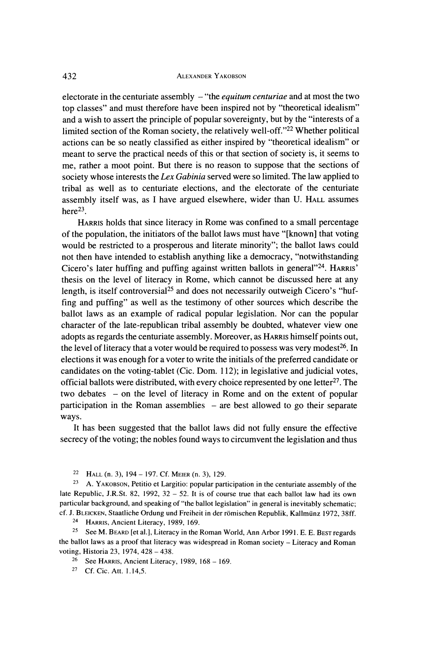**electorate in the centuriate assembly - "the equitum centuriae and at most the two top classes" and must therefore have been inspired not by "theoretical idealism" and a wish to assert the principle of popular sovereignty, but by the "interests of a limited section of the Roman society, the relatively well-off."22 Whether political actions can be so neatly classified as either inspired by "theoretical idealism" or meant to serve the practical needs of this or that section of society is, it seems to me, rather a moot point. But there is no reason to suppose that the sections of society whose interests the Lex Gabinia served were so limited. The law applied to tribal as well as to centuriate elections, and the electorate of the centuriate assembly itself was, as I have argued elsewhere, wider than U. HALL assumes**   $here<sup>23</sup>$ .

**HARRIS holds that since literacy in Rome was confined to a small percentage of the population, the initiators of the ballot laws must have "[known] that voting would be restricted to a prosperous and literate minority"; the ballot laws could not then have intended to establish anything like a democracy, "notwithstanding Cicero's later huffing and puffing against written ballots in general"24. HARRIS' thesis on the level of literacy in Rome, which cannot be discussed here at any**  length, is itself controversial<sup>25</sup> and does not necessarily outweigh Cicero's "huf**fing and puffing" as well as the testimony of other sources which describe the ballot laws as an example of radical popular legislation. Nor can the popular character of the late-republican tribal assembly be doubted, whatever view one adopts as regards the centuriate assembly. Moreover, as HARRIS himself points out,**  the level of literacy that a voter would be required to possess was very modest<sup>26</sup>. In **elections it was enough for a voter to write the initials of the preferred candidate or candidates on the voting-tablet (Cic. Dom. 1 12); in legislative and judicial votes, official ballots were distributed, with every choice represented by one letter27. The two debates - on the level of literacy in Rome and on the extent of popular participation in the Roman assemblies - are best allowed to go their separate ways.** 

**It has been suggested that the ballot laws did not fully ensure the effective secrecy of the voting; the nobles found ways to circumvent the legislation and thus** 

**22 HALL (n. 3), 194 - 197. Cf. MEIER (n. 3), 129.** 

**<sup>23</sup>A. YAKOBSON, Petitio et Largitio: popular participation in the centuriate assembly of the late Republic, J.R.St. 82, 1992, 32 - 52. It is of course true that each ballot law had its own particular background, and speaking of "the ballot legislation" in general is inevitably schematic; cf. J. BLEICKEN, Staatliche Ordung und Freiheit in der romischen Republik, Kallmunz 1972, 38ff. 24 HARRIS, Ancient Literacy, 1989, 169.** 

**<sup>25</sup>SeeM. BEARD [et al.], Literacy in the Roman World, Ann Arbor 1991. E. E. BEST regards the ballot laws as a proof that literacy was widespread in Roman society - Literacy and Roman voting, Historia 23, 1974, 428 - 438.** 

**<sup>26</sup>See HARRIS, Ancient Literacy, 1989, 168 - 169.** 

**27 Cf. Cic. Att. 1.14,5.**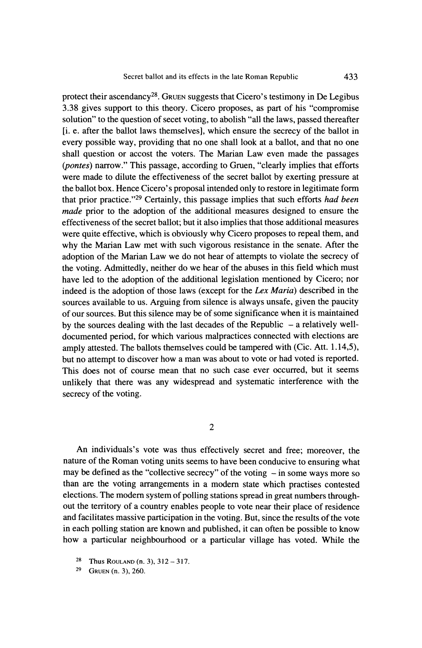protect their ascendancy<sup>28</sup>. Gruen suggests that Cicero's testimony in De Legibus **3.38 gives support to this theory. Cicero proposes, as part of his "compromise solution" to the question of secet voting, to abolish "all the laws, passed thereafter [i. e. after the ballot laws themselves], which ensure the secrecy of the ballot in every possible way, providing that no one shall look at a ballot, and that no one shall question or accost the voters. The Marian Law even made the passages (pontes) narrow." This passage, according to Gruen, "clearly implies that efforts were made to dilute the effectiveness of the secret ballot by exerting pressure at the ballot box. Hence Cicero's proposal intended only to restore in legitimate form that prior practice."29 Certainly, this passage implies that such efforts had been made prior to the adoption of the additional measures designed to ensure the effectiveness of the secret ballot; but it also implies that those additional measures were quite effective, which is obviously why Cicero proposes to repeal them, and why the Marian Law met with such vigorous resistance in the senate. After the adoption of the Marian Law we do not hear of attempts to violate the secrecy of the voting. Admittedly, neither do we hear of the abuses in this field which must have led to the adoption of the additional legislation mentioned by Cicero; nor indeed is the adoption of those laws (except for the Lex Maria) described in the sources available to us. Arguing from silence is always unsafe, given the paucity of our sources. But this silence may be of some significance when it is maintained**  by the sources dealing with the last decades of the Republic – a relatively well**documented period, for which various malpractices connected with elections are amply attested. The ballots themselves could be tampered with (Cic. Att. 1.14,5), but no attempt to discover how a man was about to vote or had voted is reported. This does not of course mean that no such case ever occurred, but it seems unlikely that there was any widespread and systematic interference with the secrecy of the voting.** 

**2** 

**An individuals's vote was thus effectively secret and free; moreover, the nature of the Roman voting units seems to have been conducive to ensuring what**  may be defined as the "collective secrecy" of the voting  $-$  in some ways more so **than are the voting arrangements in a modem state which practises contested elections. The modem system of polling stations spread in great numbers throughout the territory of a country enables people to vote near their place of residence and facilitates massive participation in the voting. But, since the results of the vote in each polling station are known and published, it can often be possible to know how a particular neighbourhood or a particular village has voted. While the** 

- **<sup>28</sup>Thus ROULAND (n. 3), 312-317.**
- **29 GRUEN (n. 3), 260.**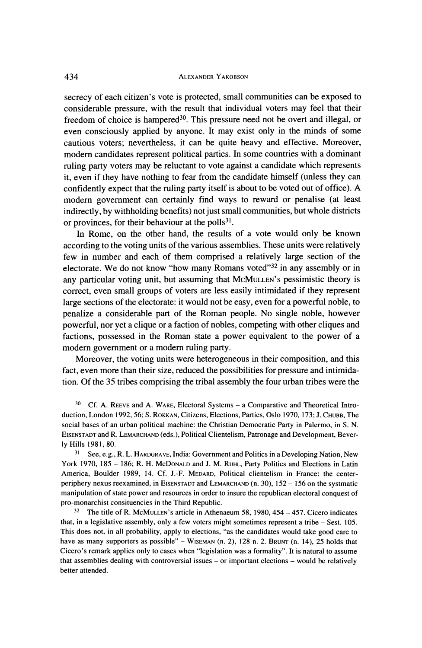**secrecy of each citizen's vote is protected, small communities can be exposed to considerable pressure, with the result that individual voters may feel that their**  freedom of choice is hampered<sup>30</sup>. This pressure need not be overt and illegal, or **even consciously applied by anyone. It may exist only in the minds of some cautious voters; nevertheless, it can be quite heavy and effective. Moreover, modern candidates represent political parties. In some countries with a dominant ruling party voters may be reluctant to vote against a candidate which represents it, even if they have nothing to fear from the candidate himself (unless they can confidently expect that the ruling party itself is about to be voted out of office). A modern government can certainly find ways to reward or penalise (at least indirectly, by withholding benefits) not just small communities, but whole districts or provinces, for their behaviour at the polls31.** 

**In Rome, on the other hand, the results of a vote would only be known according to the voting units of the various assemblies. These units were relatively few in number and each of them comprised a relatively large section of the electorate. We do not know "how many Romans voted"32 in any assembly or in any particular voting unit, but assuming that MCMULLEN's pessimistic theory is correct, even small groups of voters are less easily intimidated if they represent large sections of the electorate: it would not be easy, even for a powerful noble, to penalize a considerable part of the Roman people. No single noble, however powerful, nor yet a clique or a faction of nobles, competing with other cliques and factions, possessed in the Roman state a power equivalent to the power of a modem government or a modem ruling party.** 

**Moreover, the voting units were heterogeneous in their composition, and this fact, even more than their size, reduced the possibilities for pressure and intimidation. Of the 35 tribes comprising the tribal assembly the four urban tribes were the** 

<sup>30</sup> Cf. A. REEVE and A. WARE, Electoral Systems – a Comparative and Theoretical Intro**duction, London 1992, 56; S. ROKKAN, Citizens, Elections, Parties, Oslo 1970, 173; J. CHUBB, The social bases of an urban political machine: the Christian Democratic Party in Palermo, in S. N. EISENSTADT and R. LEMARCHAND (eds.), Political Clientelism, Patronage and Development, Beverly Hills 1981, 80.** 

**<sup>31</sup>See, e.g., R. L. HARDGRAVE, India: Government and Politics in a Developing Nation, New York 1970, 185 - 186; R. H. McDONALD and J. M. RUHL, Party Politics and Elections in Latin America, Boulder 1989, 14. Cf. J.-F. MEDARD, Political clientelism in France: the centerperiphery nexus reexamined, in EISENSTADT and LEMARCHAND (n. 30), 152 - 156 on the systmatic manipulation of state power and resources in order to insure the republican electoral conquest of pro-monarchist consituencies in the Third Republic.** 

**<sup>32</sup>The title of R. MCMULLEN's article in Athenaeum 58, 1980, 454 - 457. Cicero indicates that, in a legislative assembly, only a few voters might sometimes represent a tribe - Sest. 105. This does not, in all probability, apply to elections, "as the candidates would take good care to have as many supporters as possible" - WISEMAN (n. 2), 128 n. 2. BRUNT (n. 14), 25 holds that Cicero's remark applies only to cases when "legislation was a formality". It is natural to assume that assemblies dealing with controversial issues - or important elections - would be relatively better attended.**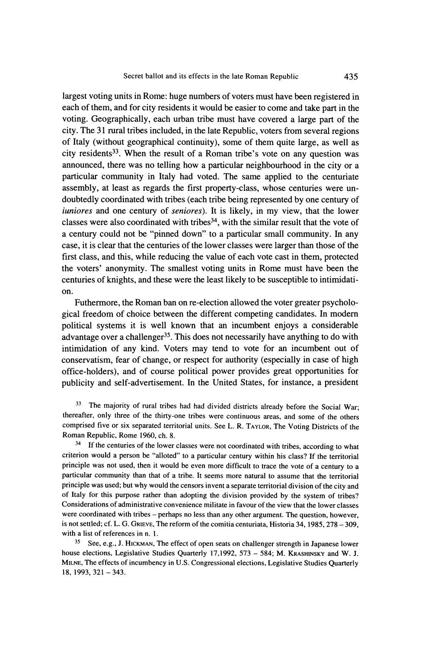**largest voting units in Rome: huge numbers of voters must have been registered in each of them, and for city residents it would be easier to come and take part in the voting. Geographically, each urban tribe must have covered a large part of the city. The 31 rural tribes included, in the late Republic, voters from several regions of Italy (without geographical continuity), some of them quite large, as well as city residents33. When the result of a Roman tribe's vote on any question was announced, there was no telling how a particular neighbourhood in the city or a particular community in Italy had voted. The same applied to the centuriate assembly, at least as regards the first property-class, whose centuries were undoubtedly coordinated with tribes (each tribe being represented by one century of iuniores and one century of seniores). It is likely, in my view, that the lower classes were also coordinated with tribes34, with the similar result that the vote of a century could not be "pinned down" to a particular small community. In any case, it is clear that the centuries of the lower classes were larger than those of the first class, and this, while reducing the value of each vote cast in them, protected the voters' anonymity. The smallest voting units in Rome must have been the centuries of knights, and these were the least likely to be susceptible to intimidation.** 

**Futhermore, the Roman ban on re-election allowed the voter greater psychological freedom of choice between the different competing candidates. In modern political systems it is well known that an incumbent enjoys a considerable advantage over a challenger35. This does not necessarily have anything to do with intimidation of any kind. Voters may tend to vote for an incumbent out of conservatism, fear of change, or respect for authority (especially in case of high office-holders), and of course political power provides great opportunities for publicity and self-advertisement. In the United States, for instance, a president** 

**33 The majority of rural tribes had had divided districts already before the Social War; thereafter, only three of the thirty-one tribes were continuous areas, and some of the others comprised five or six separated territorial units. See L. R. TAYLOR, The Voting Districts of the Roman Republic, Rome 1960, ch. 8.** 

**34 If the centuries of the lower classes were not coordinated with tribes, according to what criterion would a person be "alloted" to a particular century within his class? If the territorial principle was not used, then it would be even more difficult to trace the vote of a century to a particular community than that of a tribe. It seems more natural to assume that the territorial principle was used; but why would the censors invent a separate territorial division of the city and of Italy for this purpose rather than adopting the division provided by the system of tribes? Considerations of administrative convenience militate in favour of the view that the lower classes were coordinated with tribes - perhaps no less than any other argument. The question, however,**  is not settled; cf. L. G. GRIEVE, The reform of the comitia centuriata, Historia 34, 1985, 278 - 309, **with a list of references in n. 1.** 

**35 See, e.g., J. HICKMAN, The effect of open seats on challenger strength in Japanese lower house elections, Legislative Studies Quarterly 17,1992, 573 - 584; M. KRASHINSKY and W. J. MILNE, The effects of incumbency in U.S. Congressional elections, Legislative Studies Quarterly 18, 1993, 321 -343.**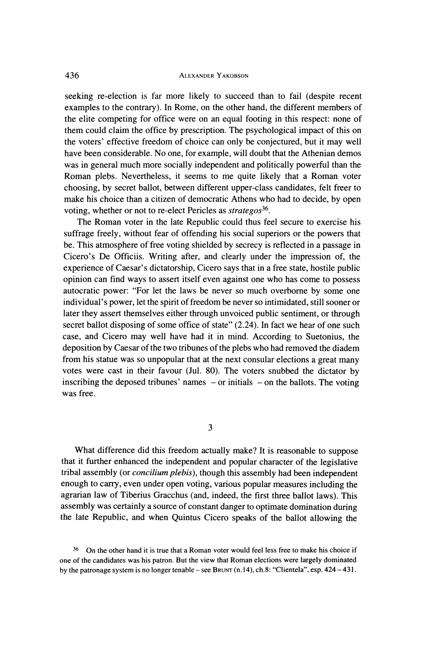**seeking re-election is far more likely to succeed than to fail (despite recent examples to the contrary). In Rome, on the other hand, the different members of the elite competing for office were on an equal footing in this respect: none of them could claim the office by prescription. The psychological impact of this on the voters' effective freedom of choice can only be conjectured, but it may well have been considerable. No one, for example, will doubt that the Athenian demos was in general much more socially independent and politically powerful than the Roman plebs. Nevertheless, it seems to me quite likely that a Roman voter choosing, by secret ballot, between different upper-class candidates, felt freer to make his choice than a citizen of democratic Athens who had to decide, by open**  voting, whether or not to re-elect Pericles as *strategos*<sup>36</sup>.

**The Roman voter in the late Republic could thus feel secure to exercise his suffrage freely, without fear of offending his social superiors or the powers that be. This atmosphere of free voting shielded by secrecy is reflected in a passage in Cicero's De Officiis. Writing after, and clearly under the impression of, the experience of Caesar's dictatorship, Cicero says that in a free state, hostile public opinion can find ways to assert itself even against one who has come to possess autocratic power: "For let the laws be never so much overborne by some one individual's power, let the spirit of freedom be never so intimidated, still sooner or later they assert themselves either through unvoiced public sentiment, or through secret ballot disposing of some office of state" (2.24). In fact we hear of one such case, and Cicero may well have had it in mind. According to Suetonius, the deposition by Caesar of the two tribunes of the plebs who had removed the diadem from his statue was so unpopular that at the next consular elections a great many votes were cast in their favour (Jul. 80). The voters snubbed the dictator by inscribing the deposed tribunes' names - or initials - on the ballots. The voting was free.** 

**3** 

**What difference did this freedom actually make? It is reasonable to suppose that it further enhanced the independent and popular character of the legislative tribal assembly (or concilium plebis), though this assembly had been independent enough to carry, even under open voting, various popular measures including the agrarian law of Tiberius Gracchus (and, indeed, the first three ballot laws). This assembly was certainly a source of constant danger to optimate domination during the late Republic, and when Quintus Cicero speaks of the ballot allowing the** 

**<sup>36</sup>On the other hand it is true that a Roman voter would feel less free to make his choice if one of the candidates was his patron. But the view that Roman elections were largely dominated by the patronage system is no longer tenable - see BRUNT (n. 14), ch.8: "Clientela", esp. 424 - 431.**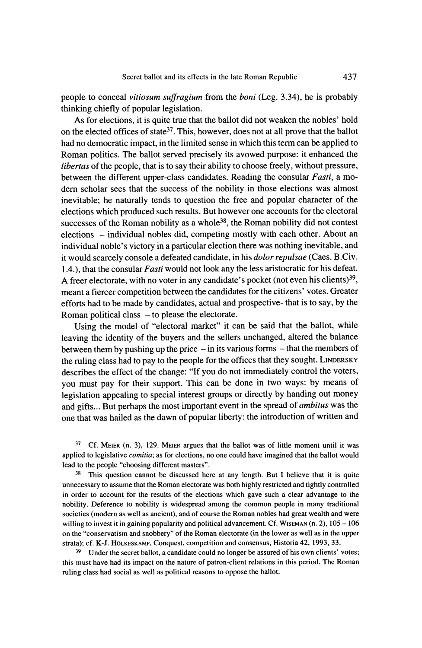**people to conceal vitiosum suffragium from the boni (Leg. 3.34), he is probably thinking chiefly of popular legislation.** 

**As for elections, it is quite true that the ballot did not weaken the nobles' hold on the elected offices of state37. This, however, does not at all prove that the ballot had no democratic impact, in the limited sense in which this term can be applied to Roman politics. The ballot served precisely its avowed purpose: it enhanced the libertas of the people, that is to say their ability to choose freely, without pressure, between the different upper-class candidates. Reading the consular Fasti, a modern scholar sees that the success of the nobility in those elections was almost inevitable; he naturally tends to question the free and popular character of the elections which produced such results. But however one accounts for the electoral**  successes of the Roman nobility as a whole<sup>38</sup>, the Roman nobility did not contest **elections - individual nobles did, competing mostly with each other. About an individual noble's victory in a particular election there was nothing inevitable, and it would scarcely console a defeated candidate, in his dolor repulsae (Caes. B.Civ. 1.4.), that the consular Fasti would not look any the less aristocratic for his defeat.**  A freer electorate, with no voter in any candidate's pocket (not even his clients)<sup>39</sup>, **meant a fiercer competition between the candidates for the citizens' votes. Greater efforts had to be made by candidates, actual and prospective- that is to say, by the Roman political class - to please the electorate.** 

**Using the model of "electoral market" it can be said that the ballot, while leaving the identity of the buyers and the sellers unchanged, altered the balance between them by pushing up the price - in its various forms - that the members of the ruling class had to pay to the people for the offices that they sought. LINDERSKY describes the effect of the change: "If you do not immediately control the voters, you must pay for their support. This can be done in two ways: by means of legislation appealing to special interest groups or directly by handing out money and gifts... But perhaps the most important event in the spread of ambitus was the one that was hailed as the dawn of popular liberty: the introduction of written and** 

**37 Cf. MEIER (n. 3), 129. MEIER argues that the ballot was of little moment until it was applied to legislative comitia; as for elections, no one could have imagined that the ballot would lead to the people "choosing different masters".** 

**38 This question cannot be discussed here at any length. But I believe that it is quite unnecessary to assume that the Roman electorate was both highly restricted and tightly controlled in order to account for the results of the elections which gave such a clear advantage to the nobility. Deference to nobility is widespread among the common people in many traditional societies (modern as well as ancient), and of course the Roman nobles had great wealth and were willing to invest it in gaining popularity and political advancement. Cf. WISEMAN (n. 2), 105 - 106 on the "conservatism and snobbery" of the Roman electorate (in the lower as well as in the upper strata); cf. K-J. HOLKESKAMP, Conquest, competition and consensus, Historia 42, 1993, 33.** 

**39 Under the secret ballot, a candidate could no longer be assured of his own clients' votes; this must have had its impact on the nature of patron-client relations in this period. The Roman ruling class had social as well as political reasons to oppose the ballot.**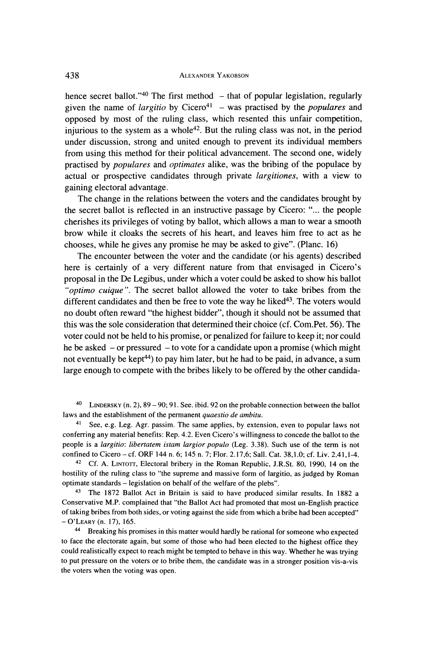hence secret ballot."<sup>40</sup> The first method - that of popular legislation, regularly given the name of *largitio* by Cicero<sup>41</sup> – was practised by the *populares* and **opposed by most of the ruling class, which resented this unfair competition,**  injurious to the system as a whole<sup>42</sup>. But the ruling class was not, in the period **under discussion, strong and united enough to prevent its individual members from using this method for their political advancement. The second one, widely practised by populares and optimates alike, was the bribing of the populace by actual or prospective candidates through private largitiones, with a view to gaining electoral advantage.** 

**The change in the relations between the voters and the candidates brought by the secret ballot is reflected in an instructive passage by Cicero: "... the people cherishes its privileges of voting by ballot, which allows a man to wear a smooth brow while it cloaks the secrets of his heart, and leaves him free to act as he chooses, while he gives any promise he may be asked to give". (Planc. 16)** 

**The encounter between the voter and the candidate (or his agents) described here is certainly of a very different nature from that envisaged in Cicero's proposal in the De Legibus, under which a voter could be asked to show his ballot "optimo cuique ". The secret ballot allowed the voter to take bribes from the**  different candidates and then be free to vote the way he liked<sup>43</sup>. The voters would **no doubt often reward "the highest bidder", though it should not be assumed that this was the sole consideration that determined their choice (cf. Com.Pet. 56). The voter could not be held to his promise, or penalized for failure to keep it; nor could he be asked - or pressured - to vote for a candidate upon a promise (which might not eventually be kept44) to pay him later, but he had to be paid, in advance, a sum large enough to compete with the bribes likely to be offered by the other candida-**

**40 LINDERSKY (n. 2), 89 - 90; 91. See. ibid. 92 on the probable connection between the ballot laws and the establishment of the permanent quaestio de ambitu.** 

**<sup>41</sup>See, e.g. Leg. Agr. passim. The same applies, by extension, even to popular laws not conferring any material benefits: Rep. 4.2. Even Cicero's willingness to concede the ballot to the people is a largitio: libertatem istam largior populo (Leg. 3.38). Such use of the term is not confined to Cicero - cf. ORF 144 n. 6; 145 n. 7; Flor. 2.17,6; Sall. Cat. 38,1.0; cf. Liv. 2.41,1-4.** 

**<sup>42</sup>Cf. A. LINTOTr, Electoral bribery in the Roman Republic, J.R.St. 80, 1990, 14 on the hostility of the ruling class to "the supreme and massive form of largitio, as judged by Roman optimate standards - legislation on behalf of the welfare of the plebs".** 

**43 The 1872 Ballot Act in Britain is said to have produced similar results. In 1882 a Conservative M.P. complained that "the Ballot Act had promoted that most un-English practice of taking bribes from both sides, or voting against the side from which a bribe had been accepted" -O'LEARY (n. 17), 165.** 

**44 Breaking his promises in this matter would hardly be rational for someone who expected to face the electorate again, but some of those who had been elected to the highest office they could realistically expect to reach might be tempted to behave in this way. Whether he was trying to put pressure on the voters or to bribe them, the candidate was in a stronger position vis-a-vis the voters when the voting was open.**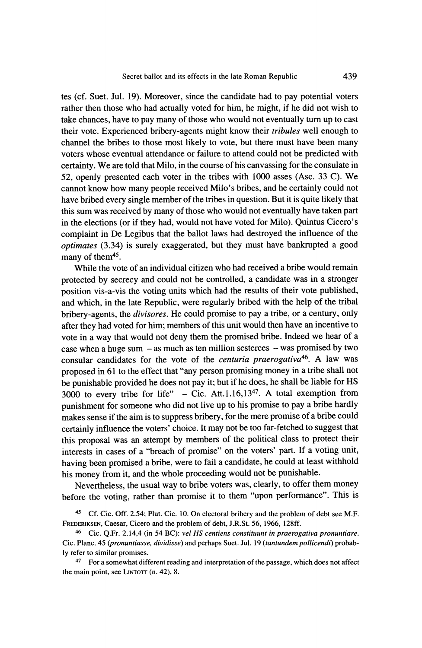**tes (cf. Suet. Jul. 19). Moreover, since the candidate had to pay potential voters rather then those who had actually voted for him, he might, if he did not wish to take chances, have to pay many of those who would not eventually turn up to cast their vote. Experienced bribery-agents might know their tribules well enough to channel the bribes to those most likely to vote, but there must have been many voters whose eventual attendance or failure to attend could not be predicted with certainty. We are told that Milo, in the course of his canvassing for the consulate in 52, openly presented each voter in the tribes with 1000 asses (Asc. 33 C). We cannot know how many people received Milo's bribes, and he certainly could not have bribed every single member of the tribes in question. But it is quite likely that this sum was received by many of those who would not eventually have taken part in the elections (or if they had, would not have voted for Milo). Quintus Cicero's complaint in De Legibus that the ballot laws had destroyed the influence of the optimates (3.34) is surely exaggerated, but they must have bankrupted a good**  many of them<sup>45</sup>.

**While the vote of an individual citizen who had received a bribe would remain protected by secrecy and could not be controlled, a candidate was in a stronger position vis-a-vis the voting units which had the results of their vote published, and which, in the late Republic, were regularly bribed with the help of the tribal bribery-agents, the divisores. He could promise to pay a tribe, or a century, only after they had voted for him; members of this unit would then have an incentive to vote in a way that would not deny them the promised bribe. Indeed we hear of a**  case when a huge sum - as much as ten million sesterces - was promised by two consular candidates for the vote of the *centuria praerogativa*<sup>46</sup>. A law was **proposed in 61 to the effect that "any person promising money in a tribe shall not be punishable provided he does not pay it; but if he does, he shall be liable for HS 3000 to every tribe for life" - Cic. Att. 1.16,1347. A total exemption from punishment for someone who did not live up to his promise to pay a bribe hardly makes sense if the aim is to suppress bribery, for the mere promise of a bribe could certainly influence the voters' choice. It may not be too far-fetched to suggest that this proposal was an attempt by members of the political class to protect their interests in cases of a "breach of promise" on the voters' part. If a voting unit, having been promised a bribe, were to fail a candidate, he could at least withhold his money from it, and the whole proceeding would not be punishable.** 

**Nevertheless, the usual way to bribe voters was, clearly, to offer them money before the voting, rather than promise it to them "upon performance". This is** 

**45 Cf. Cic. Off. 2.54; Plut. Cic. 10. On electoral bribery and the problem of debt see M.F. FREDERIKSEN, Caesar, Cicero and the problem of debt, J.R.St. 56, 1966, 128ff.** 

**46 Cic. Q.Fr. 2.14,4 (in 54 BC): vet HS centiens constituunt in praerogativa pronuntiare. Cic. Planc. 45 (pronuntiasse, dividisse) and perhaps Suet. Jul. 19 (tantundem pollicendi) probably refer to similar promises.** 

**47 For a somewhat different reading and interpretation of the passage, which does not affect the main point, see LINToTr (n. 42), 8.**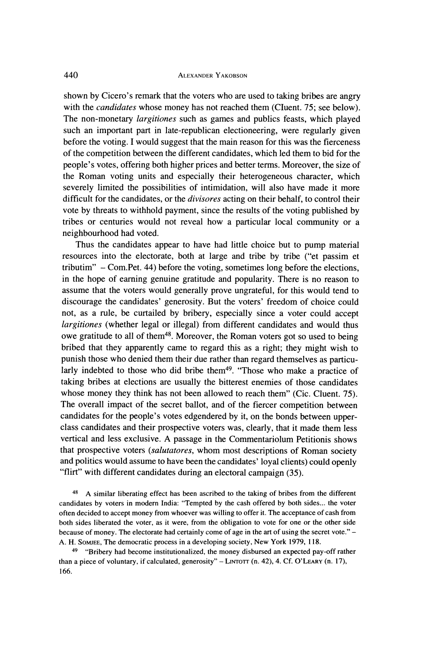**shown by Cicero's remark that the voters who are used to taking bribes are angry**  with the *candidates* whose money has not reached them (CIuent. 75; see below). **The non-monetary largitiones such as games and publics feasts, which played such an important part in late-republican electioneering, were regularly given before the voting. I would suggest that the main reason for this was the fierceness of the competition between the different candidates, which led them to bid for the people's votes, offering both higher prices and better terms. Moreover, the size of the Roman voting units and especially their heterogeneous character, which severely limited the possibilities of intimidation, will also have made it more difficult for the candidates, or the divisores acting on their behalf, to control their vote by threats to withhold payment, since the results of the voting published by tribes or centuries would not reveal how a particular local community or a neighbourhood had voted.** 

**Thus the candidates appear to have had little choice but to pump material**  resources into the electorate, both at large and tribe by tribe ("et passim et **tributim" - Com.Pet. 44) before the voting, sometimes long before the elections, in the hope of earning genuine gratitude and popularity. There is no reason to assume that the voters would generally prove ungrateful, for this would tend to discourage the candidates' generosity. But the voters' freedom of choice could not, as a rule, be curtailed by bribery, especially since a voter could accept largitiones (whether legal or illegal) from different candidates and would thus owe gratitude to all of them48. Moreover, the Roman voters got so used to being bribed that they apparently came to regard this as a right; they might wish to punish those who denied them their due rather than regard themselves as particu**larly indebted to those who did bribe them<sup>49</sup>. "Those who make a practice of **taking bribes at elections are usually the bitterest enemies of those candidates**  whose money they think has not been allowed to reach them" (Cic. Cluent. 75). **The overall impact of the secret ballot, and of the fiercer competition between candidates for the people's votes edgendered by it, on the bonds between upperclass candidates and their prospective voters was, clearly, that it made them less vertical and less exclusive. A passage in the Commentariolum Petitionis shows that prospective voters (salutatores, whom most descriptions of Roman society and politics would assume to have been the candidates' loyal clients) could openly "flirt" with different candidates during an electoral campaign (35).** 

**48 A similar liberating effect has been ascribed to the taking of bribes from the different candidates by voters in modern India: "Tempted by the cash offered by both sides... the voter often decided to accept money from whoever was willing to offer it. The acceptance of cash from both sides liberated the voter, as it were, from the obligation to vote for one or the other side because of money. The electorate had certainly come of age in the art of using the secret vote." - A. H. SOMJEE, The democratic process in a developing society, New York 1979, 118.** 

**49 "Bribery had become institutionalized, the money disbursed an expected pay-off rather than a piece of voluntary, if calculated, generosity" - LINTOTT (n. 42), 4. Cf. O'LEARY (n. 17), 166.**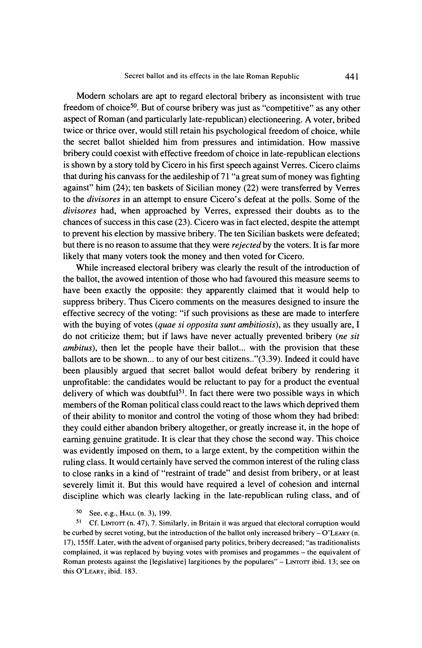**Modern scholars are apt to regard electoral bribery as inconsistent with true freedom of choice50. But of course bribery was just as "competitive" as any other aspect of Roman (and particularly late-republican) electioneering. A voter, bribed twice or thrice over, would still retain his psychological freedom of choice, while the secret ballot shielded him from pressures and intimidation. How massive bribery could coexist with effective freedom of choice in late-republican elections is shown by a story told by Cicero in his first speech against Verres. Cicero claims that during his canvass for the aedileship of 71 "a great sum of money was fighting against" him (24); ten baskets of Sicilian money (22) were transferred by Verres to the divisores in an attempt to ensure Cicero's defeat at the polls. Some of the divisores had, when approached by Verres, expressed their doubts as to the chances of success in this case (23). Cicero was in fact elected, despite the attempt to prevent his election by massive bribery. The ten Sicilian baskets were defeated; but there is no reason to assume that they were rejected by the voters. It is far more likely that many voters took the money and then voted for Cicero.** 

**While increased electoral bribery was clearly the result of the introduction of the ballot, the avowed intention of those who had favoured this measure seems to have been exactly the opposite: they apparently claimed that it would help to suppress bribery. Thus Cicero comments on the measures designed to insure the effective secrecy of the voting: "if such provisions as these are made to interfere with the buying of votes (quae si opposita sunt ambitiosis), as they usually are, I do not criticize them; but if laws have never actually prevented bribery (ne sit ambitus), then let the people have their ballot... with the provision that these ballots are to be shown... to any of our best citizens.."(3.39). Indeed it could have been plausibly argued that secret ballot would defeat bribery by rendering it unprofitable: the candidates would be reluctant to pay for a product the eventual delivery of which was doubtful51. In fact there were two possible ways in which members of the Roman political class could react to the laws which deprived them of their ability to monitor and control the voting of those whom they had bribed: they could either abandon bribery altogether, or greatly increase it, in the hope of earning genuine gratitude. It is clear that they chose the second way. This choice was evidently imposed on them, to a large extent, by the competition within the ruling class. It would certainly have served the common interest of the ruling class to close ranks in a kind of "restraint of trade" and desist from bribery, or at least severely limit it. But this would have required a level of cohesion and internal discipline which was clearly lacking in the late-republican ruling class, and of** 

## **50 See, e.g., HALL (n. 3), 199.**

**51 Cf. LiNTorr (n. 47), 7. Similarly, in Britain it was argued that electoral corruption would be curbed by secret voting, but the introduction of the ballot only increased bribery - O'LEARY (n. 17), 155ff. Later, with the advent of organised party politics, bribery decreased; "as traditionalists complained, it was replaced by buying votes with promises and progammes - the equivalent of**  Roman protests against the [legislative] largitiones by the populares" - LINTOTT ibid. 13; see on **this O'LEARY, ibid. 183.**